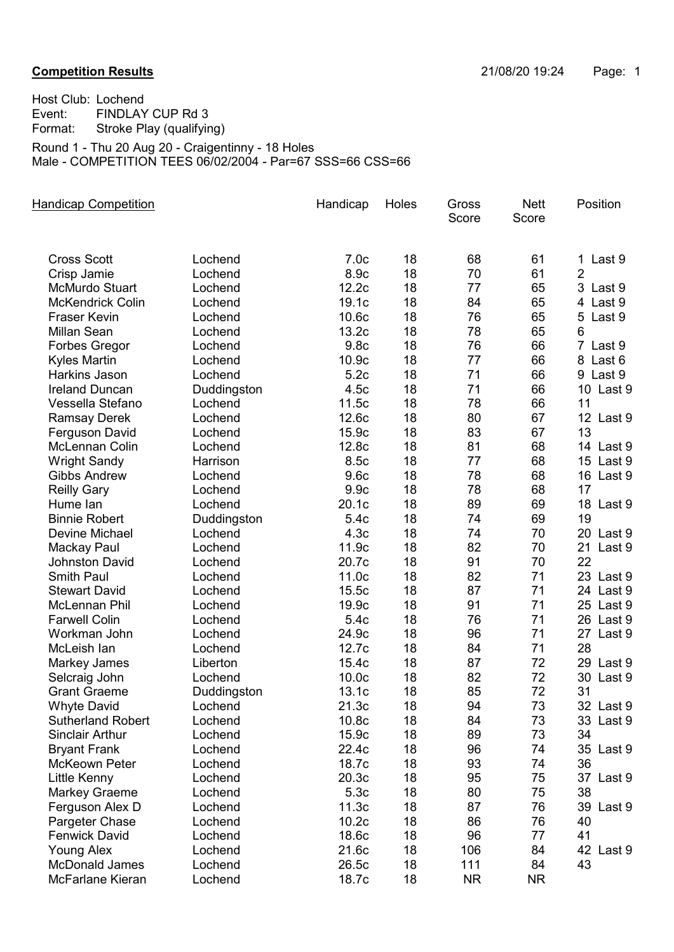Host Club: Lochend Event: FINDLAY CUP Rd 3<br>Format: Stroke Play (qualifyir Stroke Play (qualifying) Round 1 - Thu 20 Aug 20 - Craigentinny - 18 Holes

Male - COMPETITION TEES 06/02/2004 - Par=67 SSS=66 CSS=66

| <b>Handicap Competition</b> |             | Handicap          | Holes | Gross<br>Score | <b>Nett</b><br>Score | Position       |
|-----------------------------|-------------|-------------------|-------|----------------|----------------------|----------------|
|                             |             |                   |       |                |                      |                |
| <b>Cross Scott</b>          | Lochend     | 7.0 <sub>c</sub>  | 18    | 68             | 61                   | 1 Last 9       |
| Crisp Jamie                 | Lochend     | 8.9c              | 18    | 70             | 61                   | $\overline{2}$ |
| <b>McMurdo Stuart</b>       | Lochend     | 12.2c             | 18    | 77             | 65                   | 3 Last 9       |
| <b>McKendrick Colin</b>     | Lochend     | 19.1c             | 18    | 84             | 65                   | 4 Last 9       |
| <b>Fraser Kevin</b>         | Lochend     | 10.6c             | 18    | 76             | 65                   | 5 Last 9       |
| <b>Millan Sean</b>          | Lochend     | 13.2c             | 18    | 78             | 65                   | 6              |
| <b>Forbes Gregor</b>        | Lochend     | 9.8c              | 18    | 76             | 66                   | 7 Last 9       |
| <b>Kyles Martin</b>         | Lochend     | 10.9c             | 18    | 77             | 66                   | 8 Last 6       |
| Harkins Jason               | Lochend     | 5.2c              | 18    | 71             | 66                   | 9 Last 9       |
| <b>Ireland Duncan</b>       | Duddingston | 4.5c              | 18    | 71             | 66                   | 10 Last 9      |
| Vessella Stefano            | Lochend     | 11.5c             | 18    | 78             | 66                   | 11             |
| <b>Ramsay Derek</b>         | Lochend     | 12.6c             | 18    | 80             | 67                   | 12 Last 9      |
| Ferguson David              | Lochend     | 15.9c             | 18    | 83             | 67                   | 13             |
| <b>McLennan Colin</b>       | Lochend     | 12.8c             | 18    | 81             | 68                   | 14 Last 9      |
| <b>Wright Sandy</b>         | Harrison    | 8.5c              | 18    | 77             | 68                   | 15 Last 9      |
| <b>Gibbs Andrew</b>         | Lochend     | 9.6c              | 18    | 78             | 68                   | 16 Last 9      |
| <b>Reilly Gary</b>          | Lochend     | 9.9c              | 18    | 78             | 68                   | 17             |
| Hume lan                    | Lochend     | 20.1c             | 18    | 89             | 69                   | 18 Last 9      |
| <b>Binnie Robert</b>        | Duddingston | 5.4c              | 18    | 74             | 69                   | 19             |
| Devine Michael              | Lochend     | 4.3 <sub>c</sub>  | 18    | 74             | 70                   | 20 Last 9      |
| Mackay Paul                 | Lochend     | 11.9c             | 18    | 82             | 70                   | 21<br>Last 9   |
| <b>Johnston David</b>       | Lochend     | 20.7c             | 18    | 91             | 70                   | 22             |
| <b>Smith Paul</b>           | Lochend     | 11.0c             | 18    | 82             | 71                   | 23 Last 9      |
| <b>Stewart David</b>        | Lochend     | 15.5c             | 18    | 87             | 71                   | 24 Last 9      |
| McLennan Phil               | Lochend     | 19.9c             | 18    | 91             | 71                   | 25 Last 9      |
| <b>Farwell Colin</b>        | Lochend     | 5.4c              | 18    | 76             | 71                   | 26 Last 9      |
| Workman John                | Lochend     | 24.9c             | 18    | 96             | 71                   | 27 Last 9      |
| McLeish lan                 | Lochend     | 12.7c             | 18    | 84             | 71                   | 28             |
| Markey James                | Liberton    | 15.4c             | 18    | 87             | 72                   | Last 9<br>29   |
| Selcraig John               | Lochend     | 10.0 <sub>c</sub> | 18    | 82             | 72                   | Last 9<br>30   |
| <b>Grant Graeme</b>         | Duddingston | 13.1c             | 18    | 85             | 72                   | 31             |
| <b>Whyte David</b>          | Lochend     | 21.3c             | 18    | 94             | 73                   | 32 Last 9      |
| <b>Sutherland Robert</b>    | Lochend     | 10.8 <sub>c</sub> | 18    | 84             | 73                   | 33 Last 9      |
| <b>Sinclair Arthur</b>      | Lochend     | 15.9c             | 18    | 89             | 73                   | 34             |
| <b>Bryant Frank</b>         | Lochend     | 22.4c             | 18    | 96             | 74                   | 35 Last 9      |
| <b>McKeown Peter</b>        | Lochend     | 18.7c             | 18    | 93             | 74                   | 36             |
| Little Kenny                | Lochend     | 20.3c             | 18    | 95             | 75                   | 37 Last 9      |
| <b>Markey Graeme</b>        | Lochend     | 5.3c              | 18    | 80             | 75                   | 38             |
| Ferguson Alex D             | Lochend     | 11.3c             | 18    | 87             | 76                   | 39 Last 9      |
| Pargeter Chase              | Lochend     | 10.2c             | 18    | 86             | 76                   | 40             |
| <b>Fenwick David</b>        | Lochend     | 18.6c             | 18    | 96             | 77                   | 41             |
| <b>Young Alex</b>           | Lochend     | 21.6c             | 18    | 106            | 84                   | 42 Last 9      |
| <b>McDonald James</b>       | Lochend     | 26.5c             | 18    | 111            | 84                   | 43             |
| McFarlane Kieran            | Lochend     | 18.7c             | 18    | <b>NR</b>      | NR.                  |                |